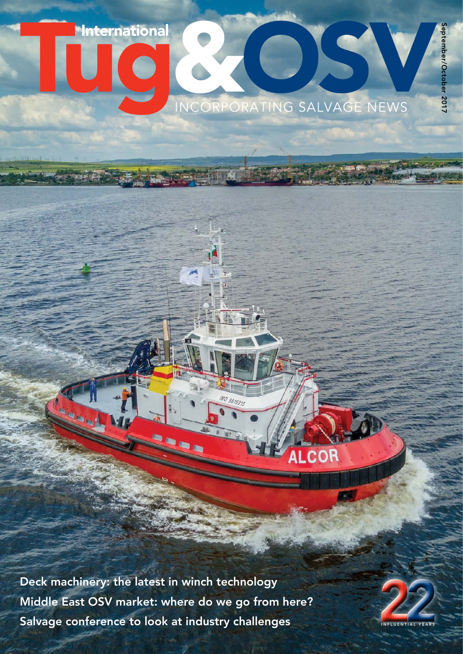Tuternational<br>
INCORPORATING SALVAGE NEWS

**ALCOR** 

Deck machinery: the latest in winch technology Middle East OSV market: where do we go from here? Salvage conference to look at industry challenges **INFLUENTIAL YEARS** 



September/October 2017 eptember/October 2017